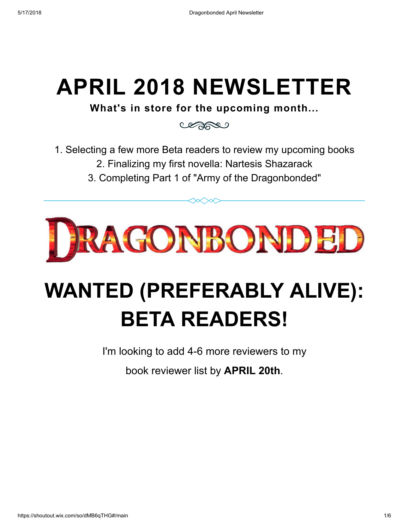## APRIL 2018 NEWSLETTER

What's in store for the upcoming month...

Cesses

- 1. Selecting a few more Beta readers to review my upcoming books
	- 2. Finalizing my first novella: Nartesis Shazarack
	- 3. Completing Part 1 of "Army of the Dragonbonded"

 $\infty$ 



# WANTED (PREFERABLY ALIVE): BETA READERS!

I'm looking to add 4-6 more reviewers to my

book reviewer list by APRIL 20th.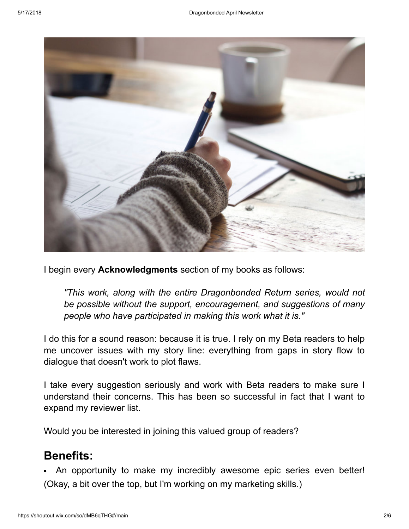

I begin every **Acknowledgments** section of my books as follows:

"This work, along with the entire Dragonbonded Return series, would not be possible without the support, encouragement, and suggestions of many people who have participated in making this work what it is."

I do this for a sound reason: because it is true. I rely on my Beta readers to help me uncover issues with my story line: everything from gaps in story flow to dialogue that doesn't work to plot flaws.

I take every suggestion seriously and work with Beta readers to make sure I understand their concerns. This has been so successful in fact that I want to expand my reviewer list.

Would you be interested in joining this valued group of readers?

#### Benefits:

An opportunity to make my incredibly awesome epic series even better! (Okay, a bit over the top, but I'm working on my marketing skills.)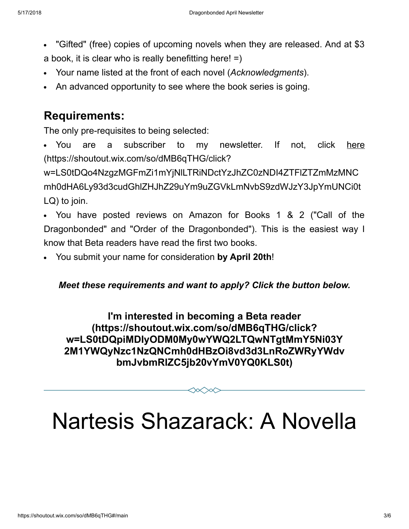- "Gifted" (free) copies of upcoming novels when they are released. And at \$3 a book, it is clear who is really benefitting here!  $=$ )
- Your name listed at the front of each novel (Acknowledgments).
- An advanced opportunity to see where the book series is going.

#### Requirements:

The only pre-requisites to being selected:

You are a subscriber to my newsletter. If not, click here (https://shoutout.wix.com/so/dMB6qTHG/click?

w=LS0tDQo4NzgzMGFmZi1mYjNlLTRiNDctYzJhZC0zNDI4ZTFlZTZmMzMNC [mh0dHA6Ly93d3cudGhlZHJhZ29uYm9uZGVkLmNvbS9zdWJzY3JpYmUNCi0t](https://shoutout.wix.com/so/dMB6qTHG/click?w=LS0tDQo4NzgzMGFmZi1mYjNlLTRiNDctYzJhZC0zNDI4ZTFlZTZmMzMNCmh0dHA6Ly93d3cudGhlZHJhZ29uYm9uZGVkLmNvbS9zdWJzY3JpYmUNCi0tLQ) LQ) to join.

- You have posted reviews on Amazon for Books 1 & 2 ("Call of the Dragonbonded" and "Order of the Dragonbonded"). This is the easiest way I know that Beta readers have read the first two books.
- You submit your name for consideration by April 20th!  $\bullet$

Meet these requirements and want to apply? Click the button below.

I'm interested in becoming a Beta reader (https://shoutout.wix.com/so/dMB6qTHG/click? w=LS0tDQpiMDIyODM0My0wYWQ2LTQwNTgtMmY5Ni03Y [2M1YWQyNzc1NzQNCmh0dHBzOi8vd3d3LnRoZWRyYWdv](https://shoutout.wix.com/so/dMB6qTHG/click?w=LS0tDQpiMDIyODM0My0wYWQ2LTQwNTgtMmY5Ni03Y2M1YWQyNzc1NzQNCmh0dHBzOi8vd3d3LnRoZWRyYWdvbmJvbmRlZC5jb20vYmV0YQ0KLS0t) bmJvbmRlZC5jb20vYmV0YQ0KLS0t)

# Nartesis Shazarack: A Novella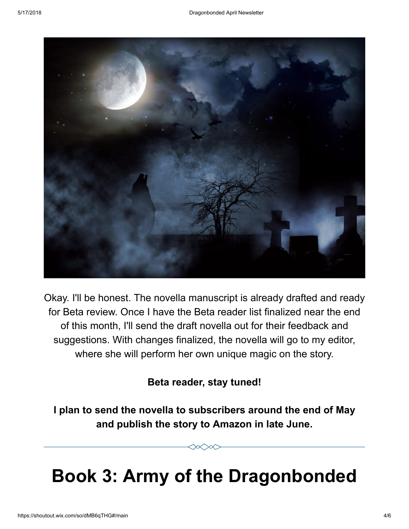

Okay. I'll be honest. The novella manuscript is already drafted and ready for Beta review. Once I have the Beta reader list finalized near the end of this month, I'll send the draft novella out for their feedback and suggestions. With changes finalized, the novella will go to my editor, where she will perform her own unique magic on the story.

#### Beta reader, stay tuned!

I plan to send the novella to subscribers around the end of May and publish the story to Amazon in late June.

## Book 3: Army of the Dragonbonded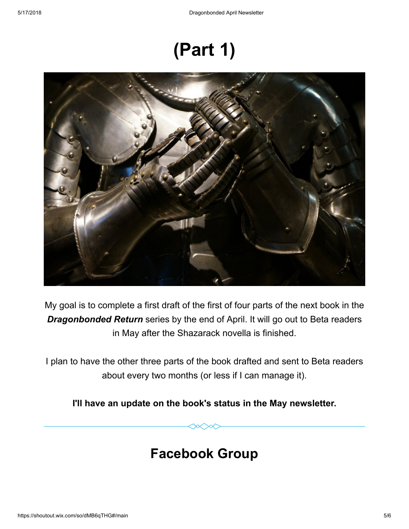## (Part 1)



My goal is to complete a first draft of the first of four parts of the next book in the **Dragonbonded Return** series by the end of April. It will go out to Beta readers in May after the Shazarack novella is finished.

I plan to have the other three parts of the book drafted and sent to Beta readers about every two months (or less if I can manage it).

I'll have an update on the book's status in the May newsletter.

### Facebook Group